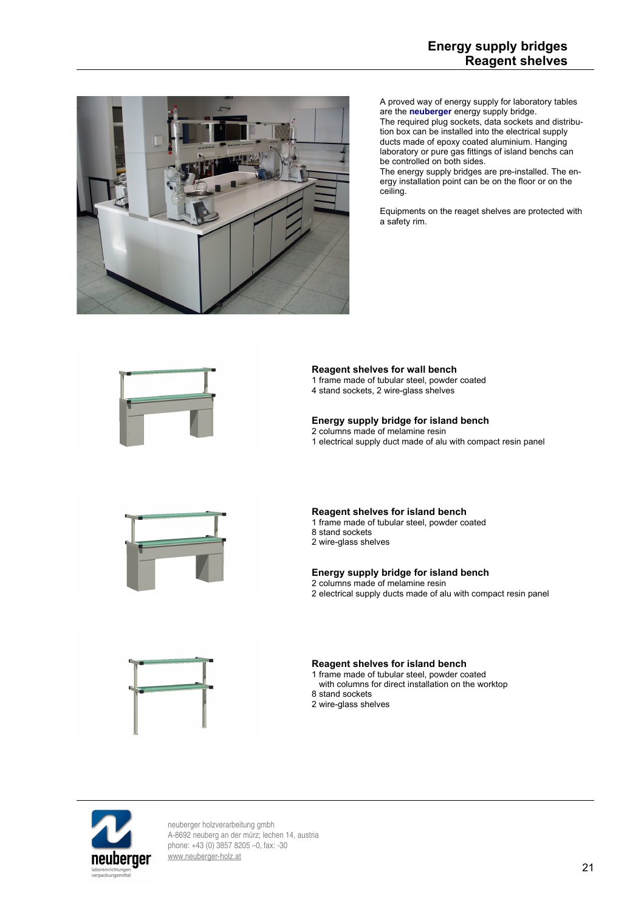

A proved way of energy supply for laboratory tables are the **neuberger** energy supply bridge. The required plug sockets, data sockets and distribution box can be installed into the electrical supply ducts made of epoxy coated aluminium. Hanging laboratory or pure gas fittings of island benchs can be controlled on both sides.

The energy supply bridges are pre-installed. The energy installation point can be on the floor or on the ceiling.

Equipments on the reaget shelves are protected with a safety rim.



# **Reagent shelves for wall bench**

- 1 frame made of tubular steel, powder coated
- 4 stand sockets, 2 wire-glass shelves

## **Energy supply bridge for island bench**

2 columns made of melamine resin 1 electrical supply duct made of alu with compact resin panel



# **Reagent shelves for island bench**

- 1 frame made of tubular steel, powder coated 8 stand sockets
- 2 wire-glass shelves
- 

# **Energy supply bridge for island bench**

2 columns made of melamine resin 2 electrical supply ducts made of alu with compact resin panel



#### **Reagent shelves for island bench**

- 1 frame made of tubular steel, powder coated
- with columns for direct installation on the worktop
- 8 stand sockets
- 2 wire-glass shelves



neuberger holzverarbeitung gmbh A-8692 neuberg an der mürz; lechen 14, austria phone: +43 (0) 3857 8205 –0, fax: -30 [www.neuberger-holz.at](http://www.neuberger-holz.at/)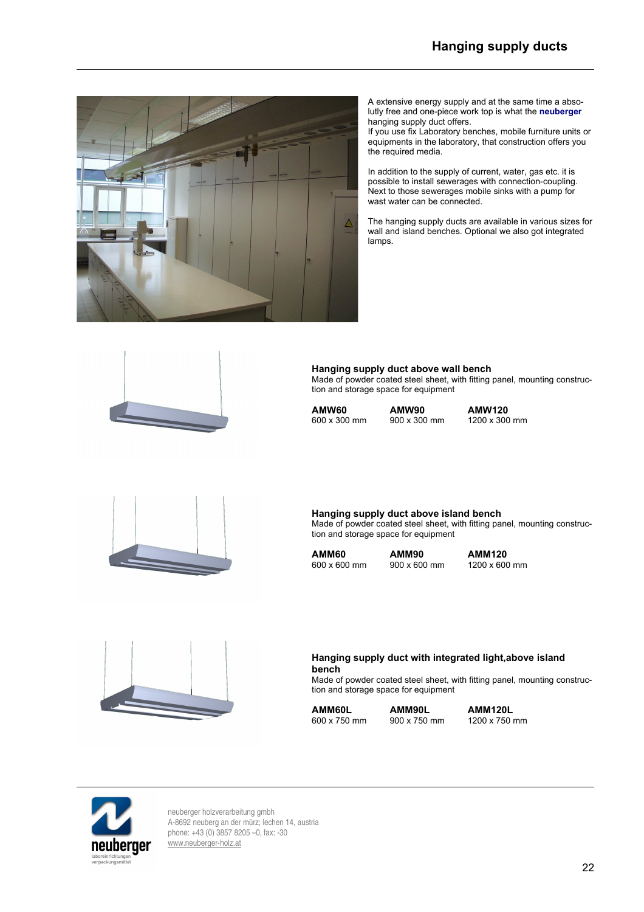

A extensive energy supply and at the same time a absolutly free and one-piece work top is what the **neuberger** hanging supply duct offers.

If you use fix Laboratory benches, mobile furniture units or equipments in the laboratory, that construction offers you the required media.

In addition to the supply of current, water, gas etc. it is possible to install sewerages with connection-coupling. Next to those sewerages mobile sinks with a pump for wast water can be connected.

The hanging supply ducts are available in various sizes for wall and island benches. Optional we also got integrated lamps.



# **Hanging supply duct above wall bench**

Made of powder coated steel sheet, with fitting panel, mounting construction and storage space for equipment

| AMW60               | AMW90               | <b>AMW120</b> |
|---------------------|---------------------|---------------|
| $600 \times 300$ mm | $900 \times 300$ mm | 1200 x 300    |

 $600 \times 300$  mm



#### **Hanging supply duct above island bench**

Made of powder coated steel sheet, with fitting panel, mounting construction and storage space for equipment

| AMM60        | AMM90               | <b>AMM120</b> |
|--------------|---------------------|---------------|
| 600 x 600 mm | $900 \times 600$ mm | 1200 x 600 mm |



# **Hanging supply duct with integrated light,above island bench**

Made of powder coated steel sheet, with fitting panel, mounting construction and storage space for equipment

| AMM60L       | AMM90L              | <b>AMM120L</b> |
|--------------|---------------------|----------------|
| 600 x 750 mm | $900 \times 750$ mm | 1200 x 750 mm  |



neuberger holzverarbeitung gmbh A-8692 neuberg an der mürz; lechen 14, austria phone: +43 (0) 3857 8205 –0, fax: -30 [www.neuberger-holz.at](http://www.neuberger-holz.at/)